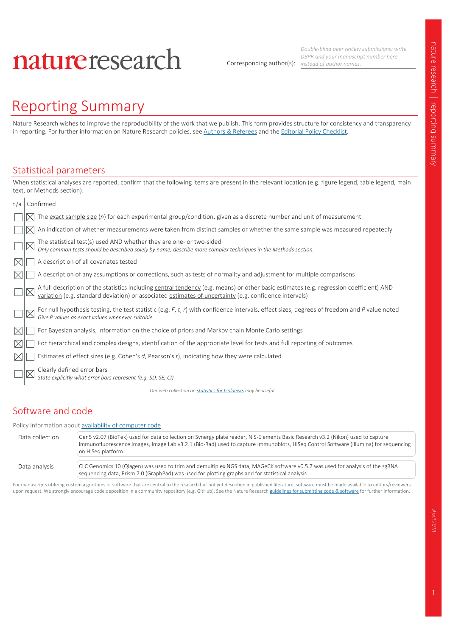# natureresearch

Corresponding author(s): *instead of author names.*

*Double-blind peer review submissions: write DBPR and your manuscript number here* 

# Reporting Summary

Nature Research wishes to improve the reproducibility of the work that we publish. This form provides structure for consistency and transparency in reporting. For further information on Nature Research policies, see Authors & Referees and the Editorial Policy Checklist.

#### Statistical parameters

When statistical analyses are reported, confirm that the following items are present in the relevant location (e.g. figure legend, table legend, main text, or Methods section).

| n/a                                                            |  | Confirmed                                                                                                                                                                                                                      |  |  |  |
|----------------------------------------------------------------|--|--------------------------------------------------------------------------------------------------------------------------------------------------------------------------------------------------------------------------------|--|--|--|
|                                                                |  | The exact sample size ( $n$ ) for each experimental group/condition, given as a discrete number and unit of measurement                                                                                                        |  |  |  |
|                                                                |  | An indication of whether measurements were taken from distinct samples or whether the same sample was measured repeatedly                                                                                                      |  |  |  |
|                                                                |  | The statistical test(s) used AND whether they are one- or two-sided<br>Only common tests should be described solely by name; describe more complex techniques in the Methods section.                                          |  |  |  |
|                                                                |  | A description of all covariates tested                                                                                                                                                                                         |  |  |  |
|                                                                |  | A description of any assumptions or corrections, such as tests of normality and adjustment for multiple comparisons                                                                                                            |  |  |  |
|                                                                |  | A full description of the statistics including central tendency (e.g. means) or other basic estimates (e.g. regression coefficient) AND variation (e.g. standard deviation) or associated estimates of uncertainty (e.g. confi |  |  |  |
|                                                                |  | For null hypothesis testing, the test statistic (e.g. $F$ , $t$ , $r$ ) with confidence intervals, effect sizes, degrees of freedom and $P$ value noted<br>Give P values as exact values whenever suitable.                    |  |  |  |
|                                                                |  | For Bayesian analysis, information on the choice of priors and Markov chain Monte Carlo settings                                                                                                                               |  |  |  |
|                                                                |  | For hierarchical and complex designs, identification of the appropriate level for tests and full reporting of outcomes                                                                                                         |  |  |  |
|                                                                |  | Estimates of effect sizes (e.g. Cohen's d, Pearson's $r$ ), indicating how they were calculated                                                                                                                                |  |  |  |
|                                                                |  | Clearly defined error bars<br>State explicitly what error bars represent (e.g. SD, SE, CI)                                                                                                                                     |  |  |  |
| Our web collection on statistics for biologists may be useful. |  |                                                                                                                                                                                                                                |  |  |  |

### Software and code

|                 | Policy information about availability of computer code                                                                                                                                                                                                                                      |
|-----------------|---------------------------------------------------------------------------------------------------------------------------------------------------------------------------------------------------------------------------------------------------------------------------------------------|
| Data collection | Gen5 v2.07 (BioTek) used for data collection on Synergy plate reader, NIS-Elements Basic Research v3.2 (Nikon) used to capture<br>immunofluorescence images, Image Lab v3.2.1 (Bio-Rad) used to capture Immunoblots, HiSeq Control Software (Illumina) for sequencing<br>on HiSeg platform. |
| Data analysis   | CLC Genomics 10 (Qiagen) was used to trim and demultiplex NGS data, MAGeCK software v0.5.7 was used for analysis of the sgRNA<br>sequencing data, Prism 7.0 (GraphPad) was used for plotting graphs and for statistical analysis.                                                           |

For manuscripts utilizing custom algorithms or software that are central to the research but not yet described in published literature, software must be made available to editors/reviewers upon request. We strongly encourage code deposition in a community repository (e.g. GitHub). See the Nature Research guidelines for submitting code & software for further information.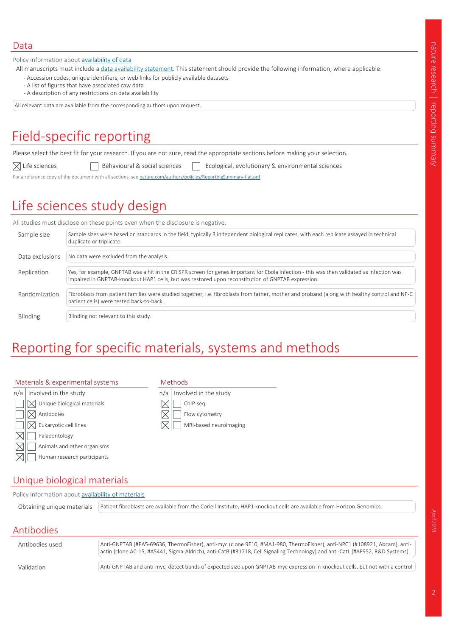#### Data

Policy information about availability of data

All manuscripts must include a data availability statement. This statement should provide the following information, where applicable:

- Accession codes, unique identifiers, or web links for publicly available datasets
- A list of figures that have associated raw data
- A description of any restrictions on data availability

All relevant data are available from the corresponding authors upon request.

# Field-specific reporting

Please select the best fit for your research. If you are not sure, read the appropriate sections before making your selection.

 $\boxtimes$  Life sciences **Behavioural & social sciences Ecological, evolutionary & environmental sciences** 

For a reference copy of the document with all sections, see nature.com/authors/policies/ReportingSummary-flat.pdf

## Life sciences study design

All studies must disclose on these points even when the disclosure is negative. Sample size Sample sizes were based on standards in the field, typically 3 independent biological replicates, with each replicate assayed in technical duplicate or triplicate. Data exclusions  $\bigcap$  No data were excluded from the analysis. Replication Yes, for example, GNPTAB was a hit in the CRISPR screen for genes important for Ebola infection - this was then validated as infection was impaired in GNPTAB-knockout HAP1 cells, but was restored upon reconstitution of GNPTAB expression. Randomization Fibroblasts from patient families were studied together, i.e. fibroblasts from father, mother and proband (along with healthy control and NP-C patient cells) were tested back-to-back. Blinding **Blinding not relevant to this study** 

# Reporting for specific materials, systems and methods

#### Materials & experimental systems

| n/a | Involved in the study       |
|-----|-----------------------------|
|     | Unique biological materials |
|     | Antibodies                  |
|     | Eukaryotic cell lines       |
|     | Palaeontology               |
|     | Animals and other organisms |
|     | Human research participants |

#### Methods

|  | $n/a$   Involved in the study |
|--|-------------------------------|
|  | ChIP-seg                      |
|  | Flow cytometry                |
|  | MRI-based neuroimaging        |

### Unique biological materials

Policy information about availability of materials Obtaining unique materials Patient fibroblasts are available from the Coriell Institute, HAP1 knockout cells are available from Horizon Genomics.

### Antibodies

| Antibodies used | Anti-GNPTAB (#PA5-69636, ThermoFisher), anti-myc (clone 9E10, #MA1-980, ThermoFisher), anti-NPC1 (#108921, Abcam), anti-<br>actin (clone AC-15, #A5441, Sigma-Aldrich), anti-CatB (#31718, Cell Signaling Technology) and anti-CatL (#AF952, R&D Systems). |
|-----------------|------------------------------------------------------------------------------------------------------------------------------------------------------------------------------------------------------------------------------------------------------------|
| Validation      | Anti-GNPTAB and anti-myc, detect bands of expected size upon GNPTAB-myc expression in knockout cells, but not with a control                                                                                                                               |